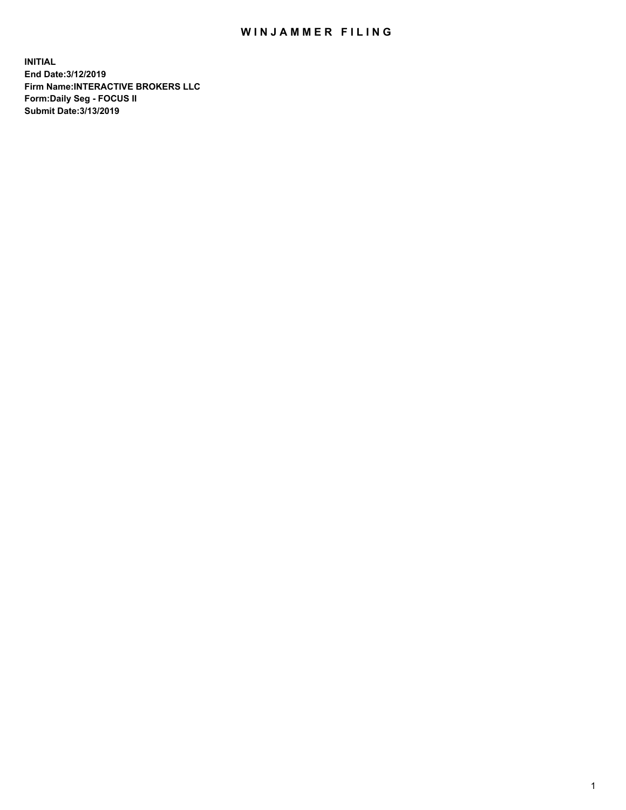## WIN JAMMER FILING

**INITIAL End Date:3/12/2019 Firm Name:INTERACTIVE BROKERS LLC Form:Daily Seg - FOCUS II Submit Date:3/13/2019**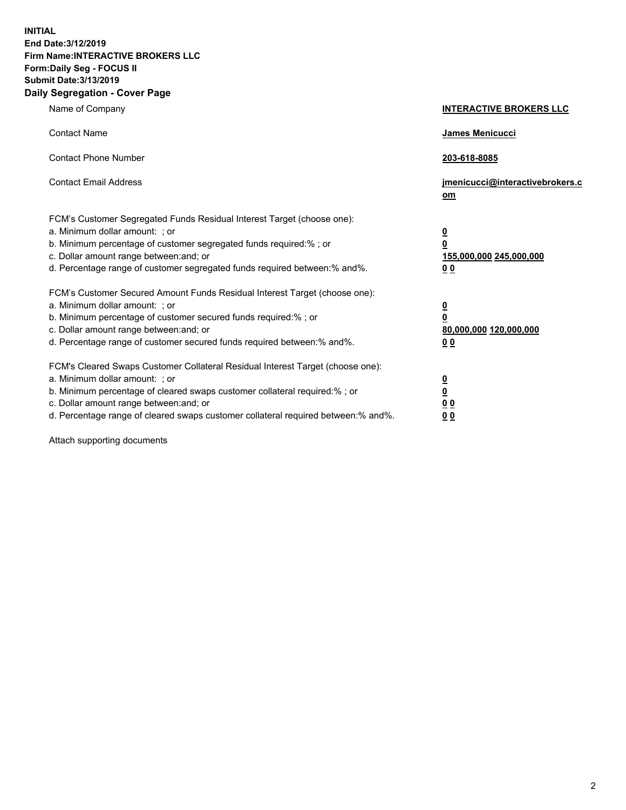**INITIAL End Date:3/12/2019 Firm Name:INTERACTIVE BROKERS LLC Form:Daily Seg - FOCUS II Submit Date:3/13/2019 Daily Segregation - Cover Page**

| Name of Company                                                                                                                                                                                                                                                                                                                | <b>INTERACTIVE BROKERS LLC</b>                                                                           |
|--------------------------------------------------------------------------------------------------------------------------------------------------------------------------------------------------------------------------------------------------------------------------------------------------------------------------------|----------------------------------------------------------------------------------------------------------|
| <b>Contact Name</b>                                                                                                                                                                                                                                                                                                            | James Menicucci                                                                                          |
| <b>Contact Phone Number</b>                                                                                                                                                                                                                                                                                                    | 203-618-8085                                                                                             |
| <b>Contact Email Address</b>                                                                                                                                                                                                                                                                                                   | jmenicucci@interactivebrokers.c<br>om                                                                    |
| FCM's Customer Segregated Funds Residual Interest Target (choose one):<br>a. Minimum dollar amount: ; or<br>b. Minimum percentage of customer segregated funds required:% ; or<br>c. Dollar amount range between: and; or<br>d. Percentage range of customer segregated funds required between:% and%.                         | $\overline{\mathbf{0}}$<br>$\overline{\mathbf{0}}$<br>155,000,000 245,000,000<br>0 <sub>0</sub>          |
| FCM's Customer Secured Amount Funds Residual Interest Target (choose one):<br>a. Minimum dollar amount: ; or<br>b. Minimum percentage of customer secured funds required:%; or<br>c. Dollar amount range between: and; or<br>d. Percentage range of customer secured funds required between:% and%.                            | $\overline{\mathbf{0}}$<br>$\overline{\mathbf{0}}$<br>80,000,000 120,000,000<br>00                       |
| FCM's Cleared Swaps Customer Collateral Residual Interest Target (choose one):<br>a. Minimum dollar amount: ; or<br>b. Minimum percentage of cleared swaps customer collateral required:% ; or<br>c. Dollar amount range between: and; or<br>d. Percentage range of cleared swaps customer collateral required between:% and%. | $\overline{\mathbf{0}}$<br>$\underline{\mathbf{0}}$<br>$\underline{0}$ $\underline{0}$<br>0 <sub>0</sub> |

Attach supporting documents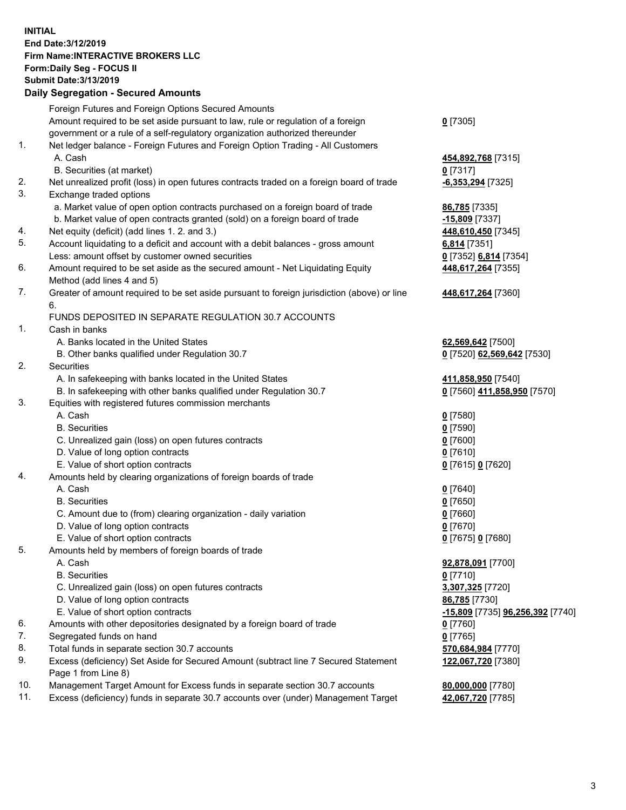## **INITIAL End Date:3/12/2019 Firm Name:INTERACTIVE BROKERS LLC Form:Daily Seg - FOCUS II Submit Date:3/13/2019 Daily Segregation - Secured Amounts**

|                | Dany Segregation - Secured Announts                                                         |                                                   |
|----------------|---------------------------------------------------------------------------------------------|---------------------------------------------------|
|                | Foreign Futures and Foreign Options Secured Amounts                                         |                                                   |
|                | Amount required to be set aside pursuant to law, rule or regulation of a foreign            | $0$ [7305]                                        |
|                | government or a rule of a self-regulatory organization authorized thereunder                |                                                   |
| $\mathbf{1}$ . | Net ledger balance - Foreign Futures and Foreign Option Trading - All Customers             |                                                   |
|                | A. Cash                                                                                     | 454,892,768 [7315]                                |
|                | B. Securities (at market)                                                                   | $0$ [7317]                                        |
| 2.             | Net unrealized profit (loss) in open futures contracts traded on a foreign board of trade   | -6,353,294 [7325]                                 |
| 3.             | Exchange traded options                                                                     |                                                   |
|                | a. Market value of open option contracts purchased on a foreign board of trade              | <b>86,785</b> [7335]                              |
|                | b. Market value of open contracts granted (sold) on a foreign board of trade                | -15,809 [7337]                                    |
| 4.             | Net equity (deficit) (add lines 1. 2. and 3.)                                               | 448,610,450 [7345]                                |
| 5.             | Account liquidating to a deficit and account with a debit balances - gross amount           | 6,814 [7351]                                      |
|                | Less: amount offset by customer owned securities                                            | 0 [7352] 6,814 [7354]                             |
| 6.             | Amount required to be set aside as the secured amount - Net Liquidating Equity              | 448,617,264 [7355]                                |
|                | Method (add lines 4 and 5)                                                                  |                                                   |
| 7.             | Greater of amount required to be set aside pursuant to foreign jurisdiction (above) or line | 448,617,264 [7360]                                |
|                | 6.                                                                                          |                                                   |
|                | FUNDS DEPOSITED IN SEPARATE REGULATION 30.7 ACCOUNTS                                        |                                                   |
| 1.             | Cash in banks                                                                               |                                                   |
|                | A. Banks located in the United States                                                       | 62,569,642 [7500]                                 |
| 2.             | B. Other banks qualified under Regulation 30.7<br><b>Securities</b>                         | 0 [7520] 62,569,642 [7530]                        |
|                | A. In safekeeping with banks located in the United States                                   |                                                   |
|                | B. In safekeeping with other banks qualified under Regulation 30.7                          | 411,858,950 [7540]<br>0 [7560] 411,858,950 [7570] |
| 3.             | Equities with registered futures commission merchants                                       |                                                   |
|                | A. Cash                                                                                     | $0$ [7580]                                        |
|                | <b>B.</b> Securities                                                                        | $0$ [7590]                                        |
|                | C. Unrealized gain (loss) on open futures contracts                                         | $0$ [7600]                                        |
|                | D. Value of long option contracts                                                           | $0$ [7610]                                        |
|                | E. Value of short option contracts                                                          | 0 [7615] 0 [7620]                                 |
| 4.             | Amounts held by clearing organizations of foreign boards of trade                           |                                                   |
|                | A. Cash                                                                                     | $0$ [7640]                                        |
|                | <b>B.</b> Securities                                                                        | $0$ [7650]                                        |
|                | C. Amount due to (from) clearing organization - daily variation                             | $0$ [7660]                                        |
|                | D. Value of long option contracts                                                           | $0$ [7670]                                        |
|                | E. Value of short option contracts                                                          | 0 [7675] 0 [7680]                                 |
| 5.             | Amounts held by members of foreign boards of trade                                          |                                                   |
|                | A. Cash                                                                                     | 92,878,091 [7700]                                 |
|                | <b>B.</b> Securities                                                                        | $0$ [7710]                                        |
|                | C. Unrealized gain (loss) on open futures contracts                                         | 3,307,325 [7720]                                  |
|                | D. Value of long option contracts                                                           | 86,785 [7730]                                     |
|                | E. Value of short option contracts                                                          | -15,809 [7735] 96,256,392 [7740]                  |
| 6.             | Amounts with other depositories designated by a foreign board of trade                      | 0 [7760]                                          |
| 7.             | Segregated funds on hand                                                                    | $0$ [7765]                                        |
| 8.             | Total funds in separate section 30.7 accounts                                               | 570,684,984 [7770]                                |
| 9.             | Excess (deficiency) Set Aside for Secured Amount (subtract line 7 Secured Statement         | 122,067,720 [7380]                                |
|                | Page 1 from Line 8)                                                                         |                                                   |
| 10.            | Management Target Amount for Excess funds in separate section 30.7 accounts                 | 80,000,000 [7780]                                 |
| 11.            | Excess (deficiency) funds in separate 30.7 accounts over (under) Management Target          | 42,067,720 [7785]                                 |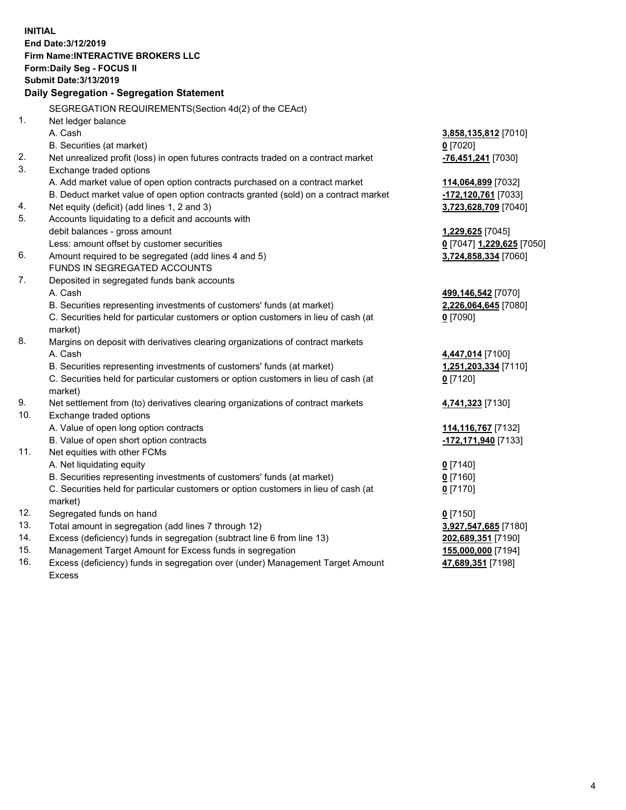**INITIAL End Date:3/12/2019 Firm Name:INTERACTIVE BROKERS LLC Form:Daily Seg - FOCUS II Submit Date:3/13/2019 Daily Segregation - Segregation Statement** SEGREGATION REQUIREMENTS(Section 4d(2) of the CEAct) 1. Net ledger balance A. Cash **3,858,135,812** [7010] B. Securities (at market) **0** [7020] 2. Net unrealized profit (loss) in open futures contracts traded on a contract market **-76,451,241** [7030] 3. Exchange traded options A. Add market value of open option contracts purchased on a contract market **114,064,899** [7032] B. Deduct market value of open option contracts granted (sold) on a contract market **-172,120,761** [7033] 4. Net equity (deficit) (add lines 1, 2 and 3) **3,723,628,709** [7040] 5. Accounts liquidating to a deficit and accounts with debit balances - gross amount **1,229,625** [7045] Less: amount offset by customer securities **0** [7047] **1,229,625** [7050] 6. Amount required to be segregated (add lines 4 and 5) **3,724,858,334** [7060] FUNDS IN SEGREGATED ACCOUNTS 7. Deposited in segregated funds bank accounts A. Cash **499,146,542** [7070] B. Securities representing investments of customers' funds (at market) **2,226,064,645** [7080] C. Securities held for particular customers or option customers in lieu of cash (at market) **0** [7090] 8. Margins on deposit with derivatives clearing organizations of contract markets A. Cash **4,447,014** [7100] B. Securities representing investments of customers' funds (at market) **1,251,203,334** [7110] C. Securities held for particular customers or option customers in lieu of cash (at market) **0** [7120] 9. Net settlement from (to) derivatives clearing organizations of contract markets **4,741,323** [7130] 10. Exchange traded options A. Value of open long option contracts **114,116,767** [7132] B. Value of open short option contracts **-172,171,940** [7133] 11. Net equities with other FCMs A. Net liquidating equity **0** [7140] B. Securities representing investments of customers' funds (at market) **0** [7160] C. Securities held for particular customers or option customers in lieu of cash (at market) **0** [7170] 12. Segregated funds on hand **0** [7150] 13. Total amount in segregation (add lines 7 through 12) **3,927,547,685** [7180] 14. Excess (deficiency) funds in segregation (subtract line 6 from line 13) **202,689,351** [7190] 15. Management Target Amount for Excess funds in segregation **155,000,000** [7194]

16. Excess (deficiency) funds in segregation over (under) Management Target Amount Excess

**47,689,351** [7198]